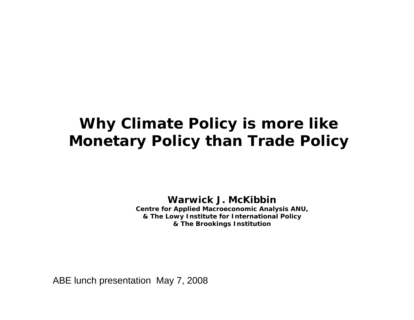### **Why Climate Policy is more like Monetary Policy than Trade Policy**

**Warwick J. McKibbinCentre for Applied Macroeconomic Analysis ANU,**

**& The Lowy Institute for International Policy & The Brookings Institution**

ABE lunch presentation May 7, 2008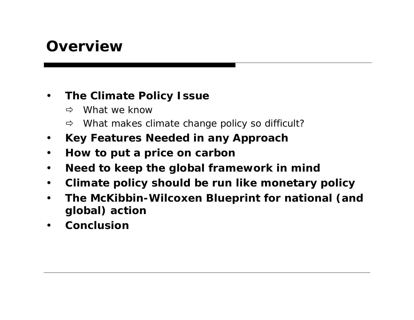### **Overview**

#### $\bullet$ **The Climate Policy Issue**

- ÖWhat we know
- $\Rightarrow$ What makes climate change policy so difficult?
- $\bullet$ **Key Features Needed in any Approach**
- $\bullet$ **How to put a price on carbon**
- $\bullet$ **Need to keep the global framework in mind**
- $\bullet$ **Climate policy should be run like monetary policy**
- $\bullet$  **The McKibbin-Wilcoxen Blueprint for national (and global) action**
- $\bullet$ **Conclusion**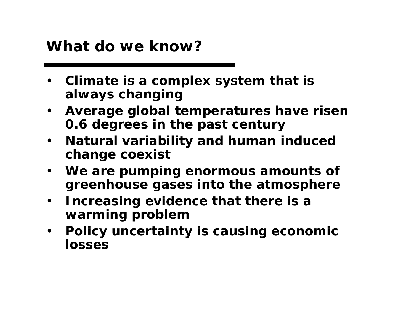#### **What do we know?**

- • **Climate is a complex system that is always changing**
- **Average global temperatures have risen 0.6 degrees in the past century**
- $\bullet$  **Natural variability and human induced change coexist**
- **We are pumping enormous amounts of greenhouse gases into the atmosphere**
- • **Increasing evidence that there is a warming problem**
- • **Policy uncertainty is causing economic losses**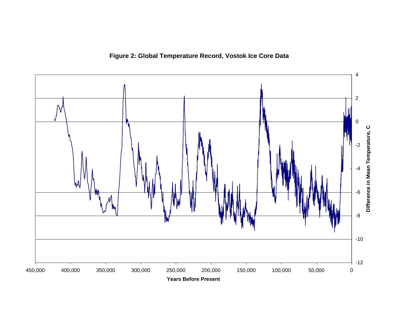**Figure 2: Global Temperature Record, Vostok Ice Core Data**

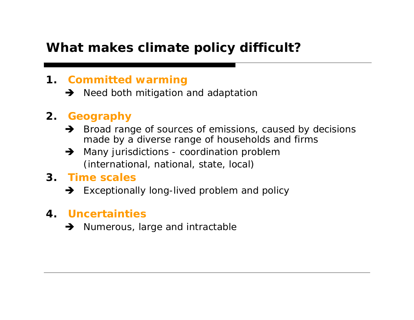#### **What makes climate policy difficult?**

#### **1. Committed warming**

 $\rightarrow$  Need both mitigation and adaptation

#### **2. Geography**

- $\rightarrow$  Broad range of sources of emissions, caused by decisions made by a diverse range of households and firms
- $\rightarrow$  Many jurisdictions coordination problem (international, national, state, local)
- **3. Time scales**
	- $\rightarrow$  Exceptionally long-lived problem and policy

#### **4. Uncertainties**

 $\rightarrow$  Numerous, large and intractable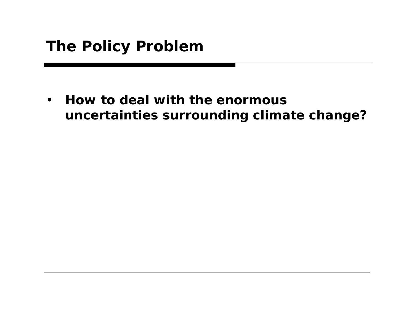$\bullet$  **How to deal with the enormous uncertainties surrounding climate change?**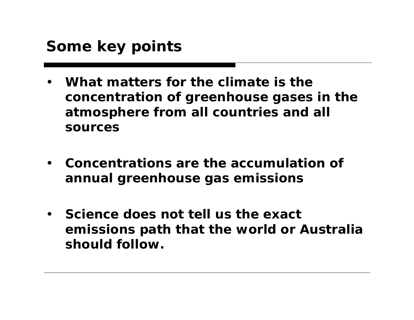## **Some key points**

- • **What matters for the climate is the concentration of greenhouse gases in the atmosphere from all countries and all sources**
- **Concentrations are the accumulation of annual greenhouse gas emissions**
- **Science does not tell us the exact emissions path that the world or Australia should follow.**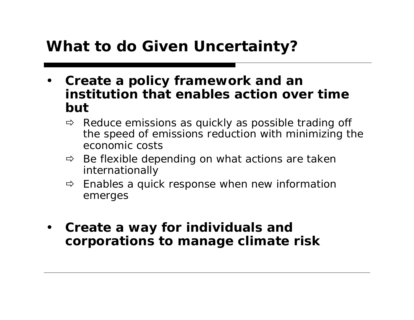## **What to do Given Uncertainty?**

- • **Create a policy framework and an institution that enables action over time but** 
	- $\Rightarrow$  Reduce emissions as quickly as possible trading off the speed of emissions reduction with minimizing the economic costs
	- $\Rightarrow$  Be flexible depending on what actions are taken internationally
	- $\Rightarrow$  Enables a quick response when new information emerges
- • **Create a way for individuals and corporations to manage climate risk**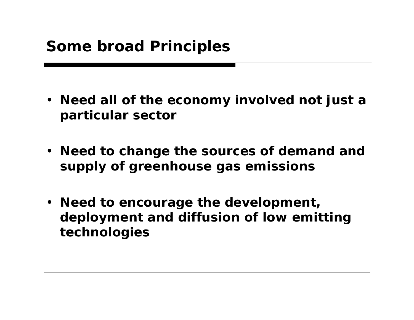- **Need all of the economy involved not just a particular sector**
- **Need to change the sources of demand and supply of greenhouse gas emissions**
- **Need to encourage the development, deployment and diffusion of low emitting technologies**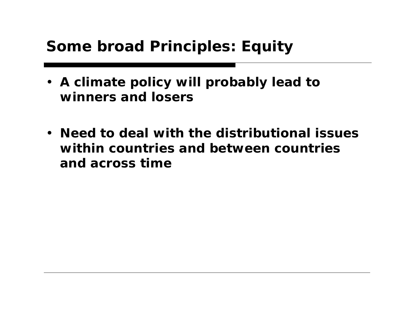## **Some broad Principles: Equity**

- **A climate policy will probably lead to winners and losers**
- **Need to deal with the distributional issues within countries and between countries and across time**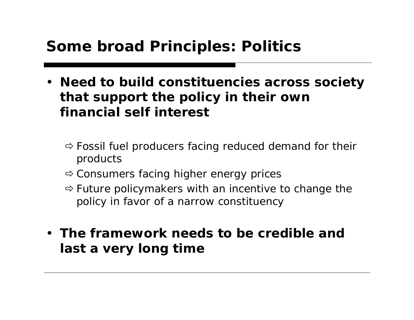## **Some broad Principles: Politics**

- **Need to build constituencies across society that support the policy in their own financial self interest**
	- $\Rightarrow$  Fossil fuel producers facing reduced demand for their products
	- $\Rightarrow$  Consumers facing higher energy prices
	- $\Rightarrow$  Future policymakers with an incentive to change the policy in favor of a narrow constituency
- **The framework needs to be credible and last a very long time**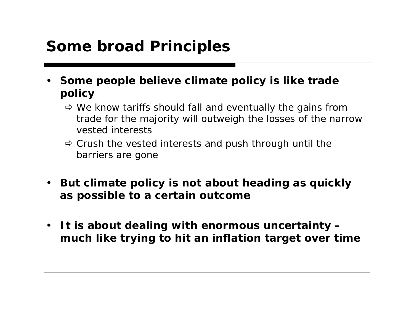## **Some broad Principles**

- • **Some people believe climate policy is like trade policy**
	- $\Rightarrow$  We know tariffs should fall and eventually the gains from trade for the majority will outweigh the losses of the narrow vested interests
	- $\Rightarrow$  Crush the vested interests and push through until the barriers are gone
- $\bullet$  **But climate policy is not about heading as quickly as possible to a certain outcome**
- **It is about dealing with enormous uncertainty – much like trying to hit an inflation target over time**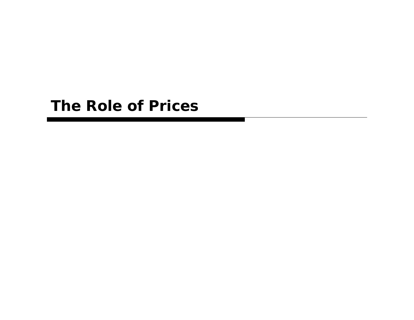#### **The Role of Prices**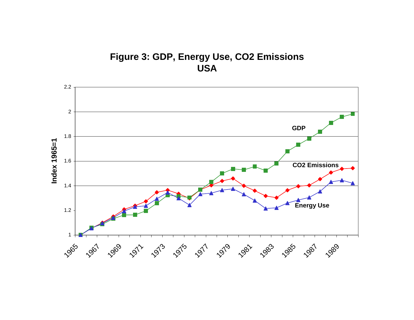#### **Figure 3: GDP, Energy Use, CO2 Emissions USA**

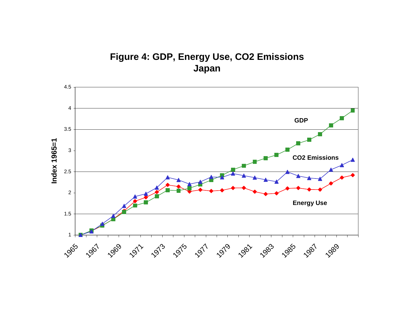#### **Figure 4: GDP, Energy Use, CO2 Emissions Japan**

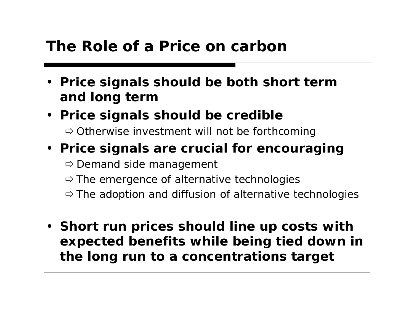#### **The Role of a Price on carbon**

- **Price signals should be both short term and long term**
- **Price signals should be credible**

 $\Rightarrow$  Otherwise investment will not be forthcoming

#### • **Price signals are crucial for encouraging**

 $\Rightarrow$  Demand side management

- $\Rightarrow$  The emergence of alternative technologies
- $\Rightarrow$  The adoption and diffusion of alternative technologies
- **Short run prices should line up costs with expected benefits while being tied down in the long run to a concentrations target**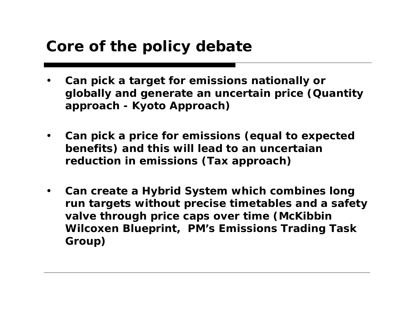### **Core of the policy debate**

- • **Can pick a target for emissions nationally or globally and generate an uncertain price (Quantity approach - Kyoto Approach)**
- $\bullet$  **Can pick a price for emissions (equal to expected benefits) and this will lead to an uncertaian reduction in emissions (Tax approach)**
- $\bullet$  **Can create a Hybrid System which combines long run targets without precise timetables and a safety valve through price caps over time (McKibbin Wilcoxen Blueprint, PM's Emissions Trading Task Group)**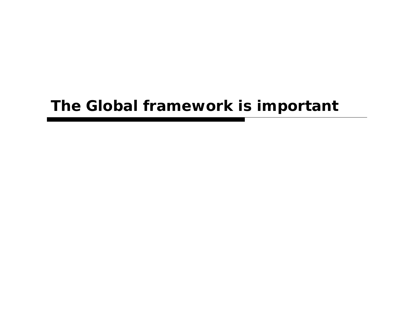#### **The Global framework is important**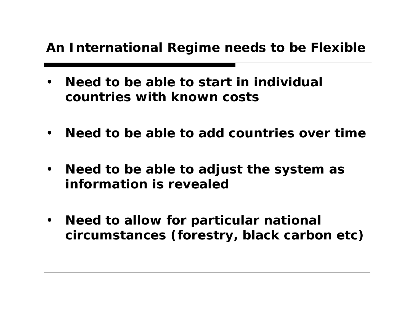#### **An International Regime needs to be Flexible**

- • **Need to be able to start in individual countries with known costs**
- $\bullet$ **Need to be able to add countries over time**
- $\bullet$  **Need to be able to adjust the system as information is revealed**
- $\bullet$  **Need to allow for particular national circumstances (forestry, black carbon etc)**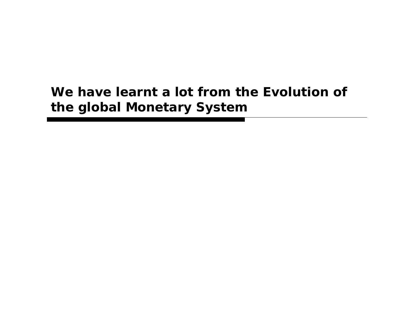#### **We have learnt a lot from the Evolution of the global Monetary System**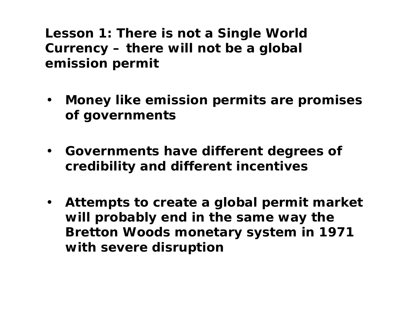**Lesson 1: There is not a Single World Currency – there will not be a global emission permit**

- $\bullet$  **Money like emission permits are promises of governments**
- **Governments have different degrees of credibility and different incentives**
- **Attempts to create a global permit market will probably end in the same way the Bretton Woods monetary system in 1971 with severe disruption**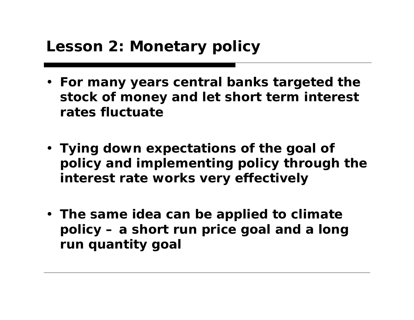- **For many years central banks targeted the stock of money and let short term interest rates fluctuate**
- **Tying down expectations of the goal of policy and implementing policy through the interest rate works very effectively**
- **The same idea can be applied to climate policy – a short run price goal and a long run quantity goal**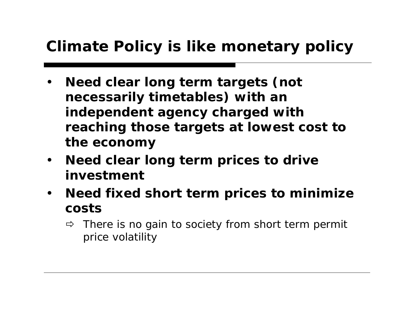## **Climate Policy is like monetary policy**

- • **Need clear long term targets (not necessarily timetables) with an independent agency charged with reaching those targets at lowest cost to the economy**
- $\bullet$  **Need clear long term prices to drive investment**
- $\bullet$  **Need fixed short term prices to minimize costs** 
	- $\Rightarrow$  There is no gain to society from short term permit price volatility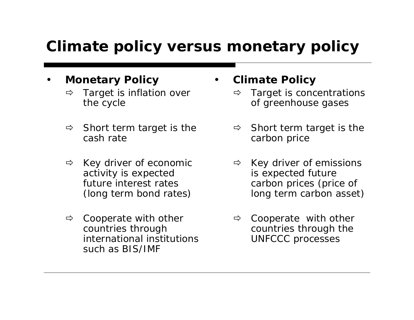## **Climate policy versus monetary policy**

- • **Monetary Policy**
	- $\Rightarrow$  Target is inflation over the cycle
	- $\Rightarrow$  Short term target is the cash rate
	- $\Rightarrow$  Key driver of economic activity is expected future interest rates (long term bond rates)
	- $\Rightarrow$  Cooperate with other countries through international institutions such as BIS/IMF

•**Climate Policy**

- $\Rightarrow$  Target is concentrations of greenhouse gases
- $\Rightarrow$  Short term target is the carbon price
- $\Rightarrow$  Key driver of emissions is expected future carbon prices (price of long term carbon asset)
- $\Rightarrow$  Cooperate with other countries through the UNFCCC processes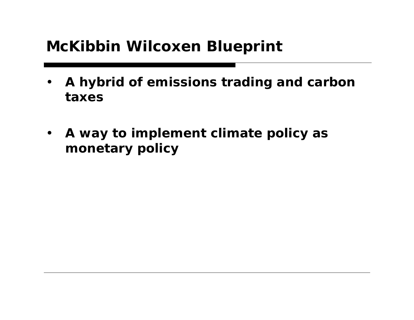## **McKibbin Wilcoxen Blueprint**

- • **A hybrid of emissions trading and carbon taxes**
- **A way to implement climate policy as monetary policy**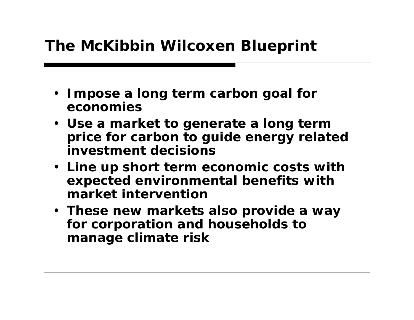## **The McKibbin Wilcoxen Blueprint**

- **Impose a long term carbon goal for economies**
- **Use a market to generate a long term price for carbon to guide energy related investment decisions**
- **Line up short term economic costs with expected environmental benefits with market intervention**
- **These new markets also provide a way for corporation and households to manage climate risk**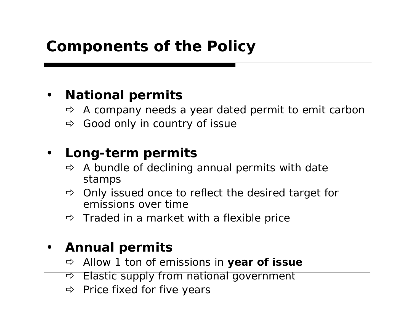## **Components of the Policy**

#### $\bullet$ **National permits**

- $\Rightarrow$ A company needs a year dated permit to emit carbon
- $\Rightarrow$ Good only in country of issue

#### •**Long-term permits**

- $\Rightarrow$  A bundle of declining annual permits with date stamps
- $\Rightarrow$  Only issued once to reflect the desired target for emissions over time
- $\Rightarrow$  Traded in a market with a flexible price

#### $\bullet$ **Annual permits**

- $\Rightarrow$ Allow 1 ton of emissions in **year of issue**
- Ö Elastic supply from national government
- $\Rightarrow$  Price fixed for five years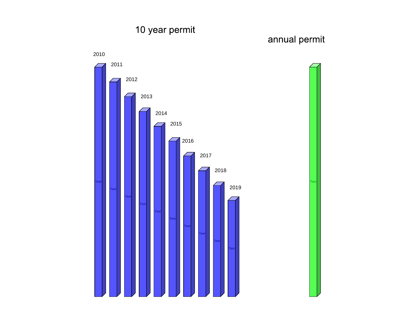#### 10 year permit

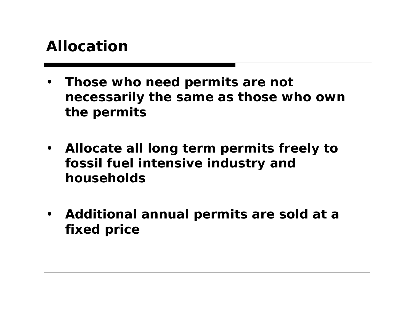#### **Allocation**

- • **Those who need permits are not necessarily the same as those who own the permits**
- $\bullet$  **Allocate all long term permits freely to fossil fuel intensive industry and households**
- $\bullet$  **Additional annual permits are sold at a fixed price**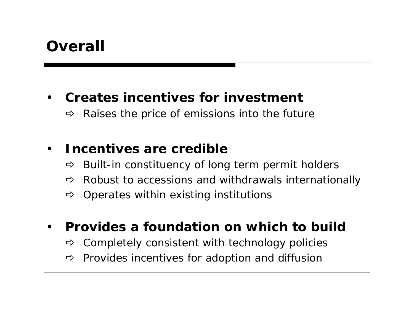### **Overall**

#### •**Creates incentives for investment**

 $\Rightarrow$ Raises the price of emissions into the future

#### •**Incentives are credible**

- $\Rightarrow$ Built-in constituency of long term permit holders
- $\Rightarrow$ Robust to accessions and withdrawals internationally
- $\Rightarrow$ Operates within existing institutions
- • **Provides a foundation on which to build**
	- $\Rightarrow$ Completely consistent with technology policies
	- $\Rightarrow$ Provides incentives for adoption and diffusion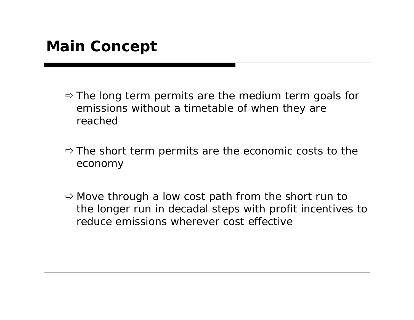- $\Rightarrow$  The long term permits are the medium term goals for emissions without a timetable of when they are reached
- $\Rightarrow$  The short term permits are the economic costs to the economy
- $\Rightarrow$  Move through a low cost path from the short run to the longer run in decadal steps with profit incentives to reduce emissions wherever cost effective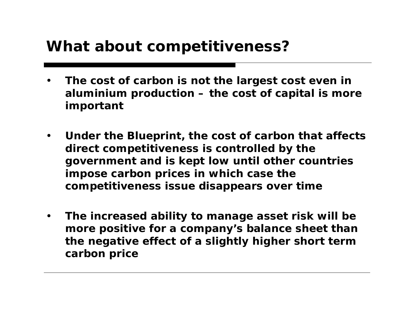### **What about competitiveness?**

- • **The cost of carbon is not the largest cost even in aluminium production – the cost of capital is more important**
- $\bullet$  **Under the Blueprint, the cost of carbon that affects direct competitiveness is controlled by the government and is kept low until other countries impose carbon prices in which case the competitiveness issue disappears over time**
- $\bullet$  **The increased ability to manage asset risk will be more positive for a company's balance sheet than the negative effect of a slightly higher short term carbon price**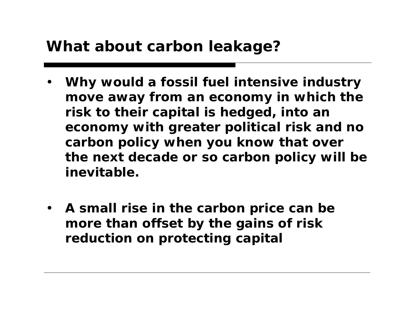### **What about carbon leakage?**

- • **Why would a fossil fuel intensive industry move away from an economy in which the risk to their capital is hedged, into an economy with greater political risk and no carbon policy when you know that over the next decade or so carbon policy will be inevitable.**
- **A small rise in the carbon price can be more than offset by the gains of risk reduction on protecting capital**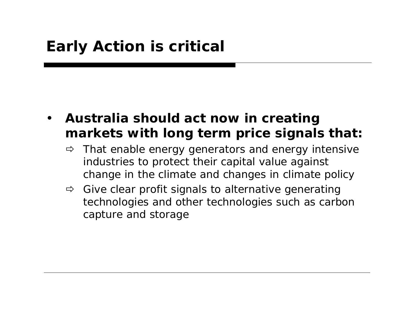- • **Australia should act now in creating markets with long term price signals that:**
	- $\Rightarrow$  That enable energy generators and energy intensive industries to protect their capital value against change in the climate and changes in climate policy
	- $\Rightarrow$  Give clear profit signals to alternative generating technologies and other technologies such as carbon capture and storage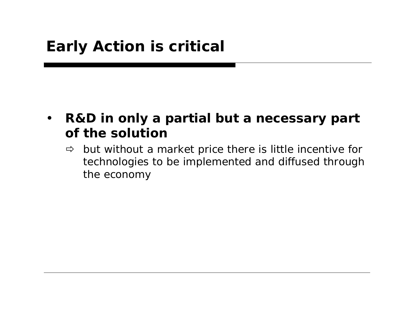- $\bullet$  **R&D in only a partial but a necessary part of the solution** 
	- $\Rightarrow$  but without a market price there is little incentive for technologies to be implemented and diffused through the economy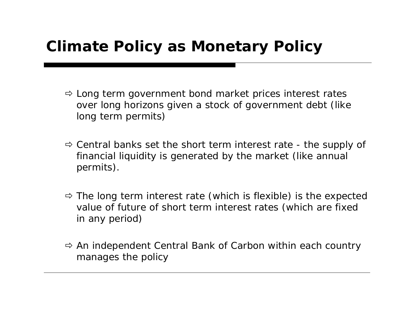## **Climate Policy as Monetary Policy**

- $\Rightarrow$  Long term government bond market prices interest rates over long horizons given a stock of government debt (like long term permits)
- $\Rightarrow$  Central banks set the short term interest rate the supply of financial liquidity is generated by the market (like annual permits).
- $\Rightarrow$  The long term interest rate (which is flexible) is the expected value of future of short term interest rates (which are fixed in any period)
- $\Rightarrow$  An independent Central Bank of Carbon within each country manages the policy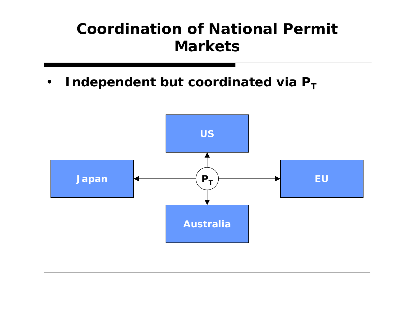## **Coordination of National Permit Markets**

 $\bullet$ **• Independent but coordinated via P**<sub>1</sub>

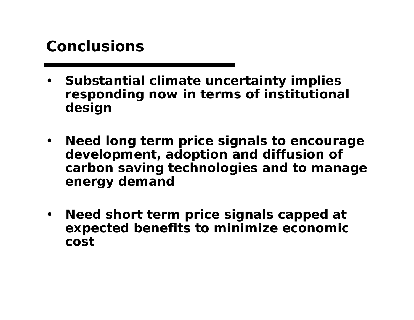### **Conclusions**

- • **Substantial climate uncertainty implies responding now in terms of institutional design**
- • **Need long term price signals to encourage development, adoption and diffusion of carbon saving technologies and to manage energy demand**
- • **Need short term price signals capped at expected benefits to minimize economic cost**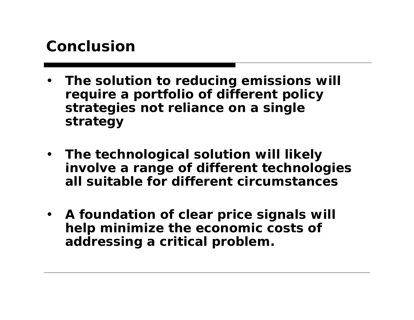### **Conclusion**

- • **The solution to reducing emissions will require a portfolio of different policy strategies not reliance on a single strategy**
- **The technological solution will likely involve a range of different technologies all suitable for different circumstances**
- **A foundation of clear price signals will help minimize the economic costs of addressing a critical problem.**